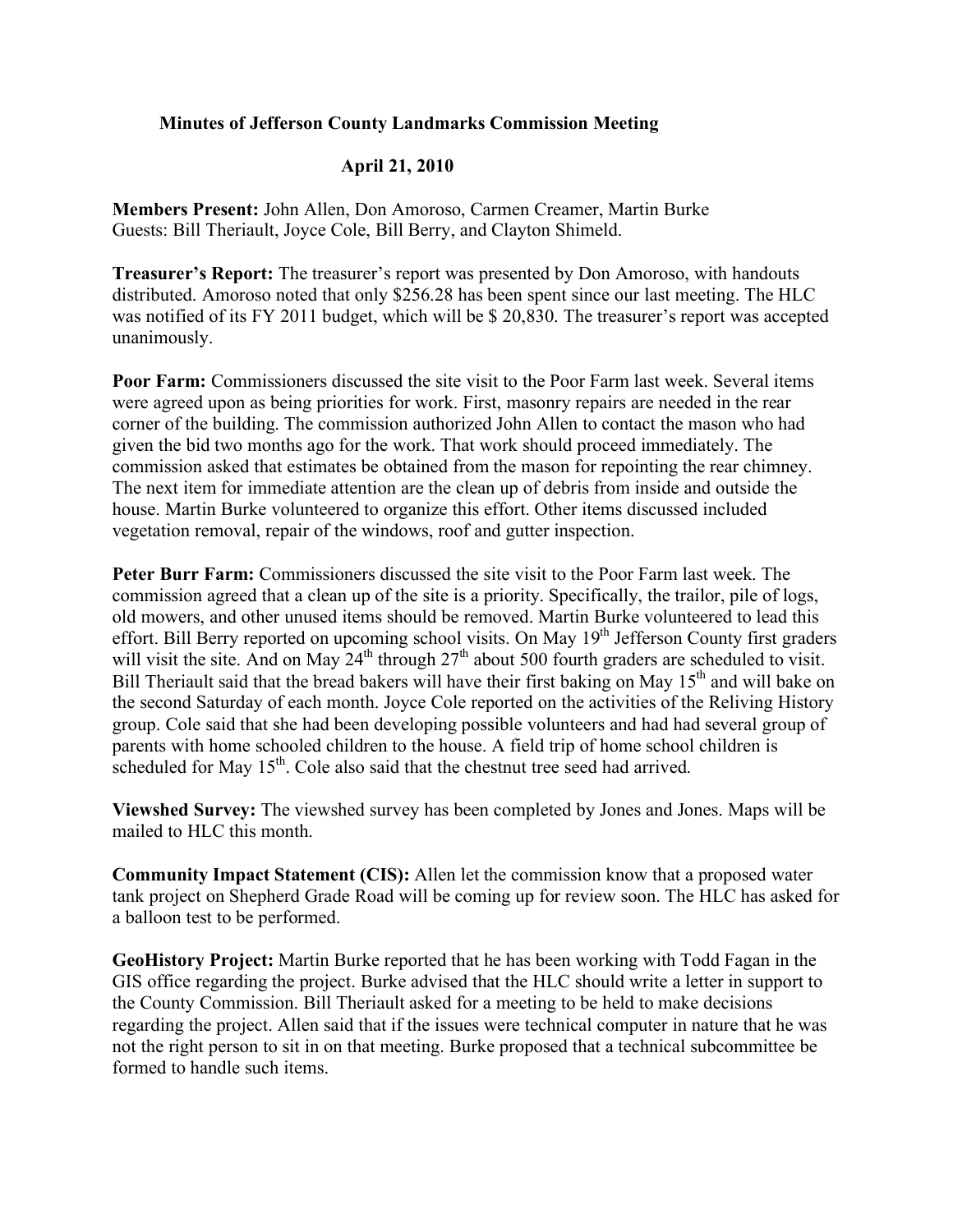## **Minutes of Jefferson County Landmarks Commission Meeting**

## **April 21, 2010**

**Members Present:** John Allen, Don Amoroso, Carmen Creamer, Martin Burke Guests: Bill Theriault, Joyce Cole, Bill Berry, and Clayton Shimeld.

**Treasurer's Report:** The treasurer's report was presented by Don Amoroso, with handouts distributed. Amoroso noted that only \$256.28 has been spent since our last meeting. The HLC was notified of its FY 2011 budget, which will be \$ 20,830. The treasurer's report was accepted unanimously.

**Poor Farm:** Commissioners discussed the site visit to the Poor Farm last week. Several items were agreed upon as being priorities for work. First, masonry repairs are needed in the rear corner of the building. The commission authorized John Allen to contact the mason who had given the bid two months ago for the work. That work should proceed immediately. The commission asked that estimates be obtained from the mason for repointing the rear chimney. The next item for immediate attention are the clean up of debris from inside and outside the house. Martin Burke volunteered to organize this effort. Other items discussed included vegetation removal, repair of the windows, roof and gutter inspection.

**Peter Burr Farm:** Commissioners discussed the site visit to the Poor Farm last week. The commission agreed that a clean up of the site is a priority. Specifically, the trailor, pile of logs, old mowers, and other unused items should be removed. Martin Burke volunteered to lead this effort. Bill Berry reported on upcoming school visits. On May 19<sup>th</sup> Jefferson County first graders will visit the site. And on May  $24<sup>th</sup>$  through  $27<sup>th</sup>$  about 500 fourth graders are scheduled to visit. Bill Theriault said that the bread bakers will have their first baking on May  $15<sup>th</sup>$  and will bake on the second Saturday of each month. Joyce Cole reported on the activities of the Reliving History group. Cole said that she had been developing possible volunteers and had had several group of parents with home schooled children to the house. A field trip of home school children is scheduled for May  $15<sup>th</sup>$ . Cole also said that the chestnut tree seed had arrived.

**Viewshed Survey:** The viewshed survey has been completed by Jones and Jones. Maps will be mailed to HLC this month.

**Community Impact Statement (CIS):** Allen let the commission know that a proposed water tank project on Shepherd Grade Road will be coming up for review soon. The HLC has asked for a balloon test to be performed.

**GeoHistory Project:** Martin Burke reported that he has been working with Todd Fagan in the GIS office regarding the project. Burke advised that the HLC should write a letter in support to the County Commission. Bill Theriault asked for a meeting to be held to make decisions regarding the project. Allen said that if the issues were technical computer in nature that he was not the right person to sit in on that meeting. Burke proposed that a technical subcommittee be formed to handle such items.